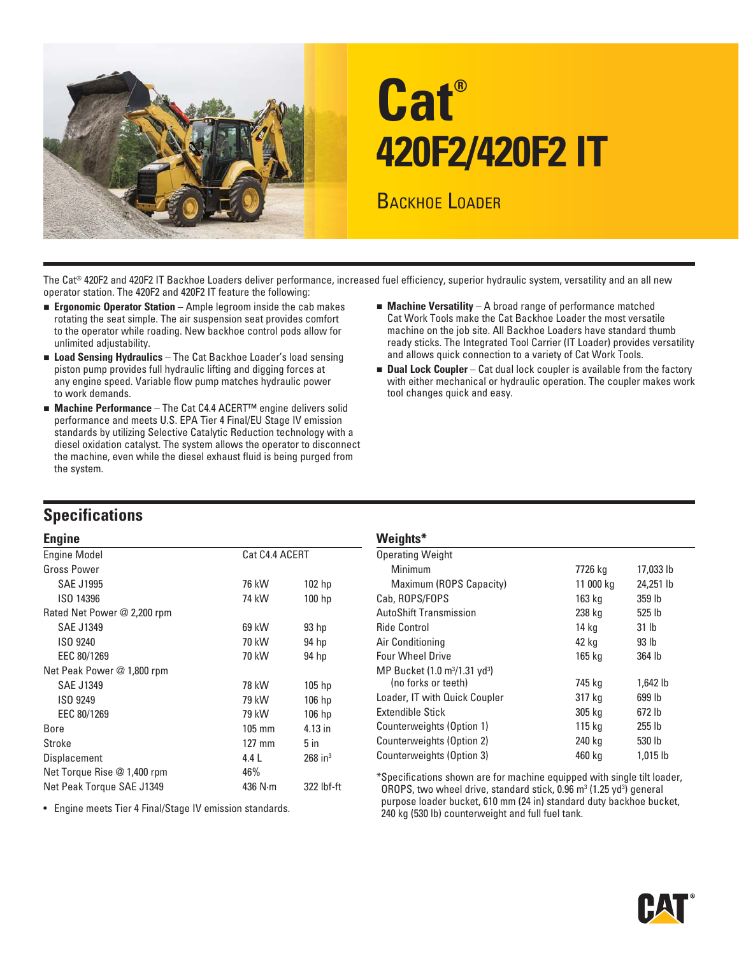

# **Cat® 420F2/420F2 IT**

BACKHOE LOADER

The Cat® 420F2 and 420F2 IT Backhoe Loaders deliver performance, increased fuel efficiency, superior hydraulic system, versatility and an all new operator station. The 420F2 and 420F2 IT feature the following:

- **Exponomic Operator Station** Ample legroom inside the cab makes rotating the seat simple. The air suspension seat provides comfort to the operator while roading. New backhoe control pods allow for unlimited adjustability.
- **Load Sensing Hydraulics** The Cat Backhoe Loader's load sensing piston pump provides full hydraulic lifting and digging forces at any engine speed. Variable flow pump matches hydraulic power to work demands.
- **Machine Performance** The Cat C4.4 ACERT<sup>™</sup> engine delivers solid performance and meets U.S. EPA Tier 4 Final/EU Stage IV emission standards by utilizing Selective Catalytic Reduction technology with a diesel oxidation catalyst. The system allows the operator to disconnect the machine, even while the diesel exhaust fluid is being purged from the system.
- **Machine Versatility** A broad range of performance matched Cat Work Tools make the Cat Backhoe Loader the most versatile machine on the job site. All Backhoe Loaders have standard thumb ready sticks. The Integrated Tool Carrier (IT Loader) provides versatility and allows quick connection to a variety of Cat Work Tools.
- **Dual Lock Coupler** Cat dual lock coupler is available from the factory with either mechanical or hydraulic operation. The coupler makes work tool changes quick and easy.

### **Specifications**

| <b>Engine</b>                                        |          |                                                                                             | Weights*                                                                |           |                  |  |  |  |  |
|------------------------------------------------------|----------|---------------------------------------------------------------------------------------------|-------------------------------------------------------------------------|-----------|------------------|--|--|--|--|
| <b>Engine Model</b><br>Cat C4.4 ACERT                |          |                                                                                             | <b>Operating Weight</b>                                                 |           |                  |  |  |  |  |
| <b>Gross Power</b>                                   |          |                                                                                             | <b>Minimum</b>                                                          | 7726 kg   | 17,033 lb        |  |  |  |  |
| <b>SAE J1995</b>                                     | 76 kW    | 102 hp                                                                                      | Maximum (ROPS Capacity)                                                 | 11 000 kg | 24,251 lb        |  |  |  |  |
| ISO 14396                                            | 74 kW    | 100 <sub>hp</sub>                                                                           | Cab, ROPS/FOPS                                                          | 163 kg    | 359 lb           |  |  |  |  |
| Rated Net Power @ 2,200 rpm                          |          |                                                                                             | <b>AutoShift Transmission</b>                                           | 238 kg    | 525 lb           |  |  |  |  |
| <b>SAE J1349</b>                                     | 69 kW    | 93 hp                                                                                       | <b>Ride Control</b>                                                     | 14 kg     | 31 <sub>lb</sub> |  |  |  |  |
| ISO 9240                                             | 70 kW    | 94 hp                                                                                       | Air Conditioning                                                        | 42 kg     | 93 <sub>lb</sub> |  |  |  |  |
| EEC 80/1269                                          | 70 kW    | 94 hp                                                                                       | <b>Four Wheel Drive</b>                                                 | 165 kg    | 364 lb           |  |  |  |  |
| Net Peak Power @ 1,800 rpm                           |          |                                                                                             | MP Bucket (1.0 m <sup>3</sup> /1.31 yd <sup>3</sup> )                   |           |                  |  |  |  |  |
| <b>SAE J1349</b>                                     | 78 kW    | 105 <sub>hp</sub>                                                                           | (no forks or teeth)                                                     | 745 kg    | 1,642 lb         |  |  |  |  |
| ISO 9249                                             | 79 kW    | $106$ hp                                                                                    | Loader, IT with Quick Coupler                                           | 317 kg    | 699 lb           |  |  |  |  |
| EEC 80/1269                                          | 79 kW    | 106 hp                                                                                      | Extendible Stick                                                        | 305 kg    | 672 lb           |  |  |  |  |
| Bore                                                 | $105$ mm | 4.13 in                                                                                     | Counterweights (Option 1)                                               | 115 kg    | 255 lb           |  |  |  |  |
| Stroke                                               | $127$ mm | $5$ in                                                                                      | Counterweights (Option 2)                                               | 240 kg    | 530 lb           |  |  |  |  |
| Displacement                                         | 4.4L     | $268$ in <sup>3</sup>                                                                       | Counterweights (Option 3)                                               | 460 kg    | 1,015 lb         |  |  |  |  |
| Net Torque Rise @ 1,400 rpm<br>46%                   |          |                                                                                             | *Specifications shown are for machine equipped with single tilt loader, |           |                  |  |  |  |  |
| 436 $N·m$<br>322 lbf-ft<br>Net Peak Torque SAE J1349 |          | OROPS, two wheel drive, standard stick, 0.96 m <sup>3</sup> (1.25 yd <sup>3</sup> ) general |                                                                         |           |                  |  |  |  |  |

| ymc                         |                  |                         | <b>TURITIS</b>                                        |           |                  |  |  |  |
|-----------------------------|------------------|-------------------------|-------------------------------------------------------|-----------|------------------|--|--|--|
| ine Model<br>Cat C4.4 ACERT |                  | <b>Operating Weight</b> |                                                       |           |                  |  |  |  |
| ss Power                    |                  |                         | <b>Minimum</b>                                        | 7726 kg   | 17,033 lb        |  |  |  |
| <b>SAE J1995</b>            | 76 kW            | 102 <sub>hp</sub>       | Maximum (ROPS Capacity)                               | 11 000 kg | 24,251 lb        |  |  |  |
| ISO 14396                   | 74 kW            | 100 <sub>hp</sub>       | Cab, ROPS/FOPS                                        | 163 kg    | 359 lb           |  |  |  |
| ed Net Power @ 2,200 rpm    |                  |                         | <b>AutoShift Transmission</b>                         | 238 kg    | 525 lb           |  |  |  |
| <b>SAE J1349</b>            | 69 kW            | 93 <sub>hp</sub>        | <b>Ride Control</b>                                   | 14 kg     | 31 <sub>lb</sub> |  |  |  |
| ISO 9240                    | 70 kW            | 94 hp                   | Air Conditioning                                      | 42 kg     | 93 <sub>lb</sub> |  |  |  |
| EEC 80/1269                 | 70 kW            | 94 hp                   | <b>Four Wheel Drive</b>                               | 165 kg    | 364 lb           |  |  |  |
| : Peak Power @ 1,800 rpm    |                  |                         | MP Bucket (1.0 m <sup>3</sup> /1.31 yd <sup>3</sup> ) |           |                  |  |  |  |
| SAE J1349                   | 78 kW            | 105 <sub>hp</sub>       | (no forks or teeth)                                   | 745 kg    | $1.642$ lb       |  |  |  |
| ISO 9249                    | 79 kW            | $106$ hp                | Loader, IT with Quick Coupler                         | 317 kg    | 699 lb           |  |  |  |
| EEC 80/1269                 | 79 kW            | $106$ hp                | Extendible Stick                                      | 305 kg    | 672 lb           |  |  |  |
| .e                          | $105 \text{ mm}$ | 4.13 in                 | Counterweights (Option 1)                             | 115 kg    | 255 lb           |  |  |  |
| oke                         | $127 \text{ mm}$ | $5$ in                  | Counterweights (Option 2)                             | 240 kg    | 530 lb           |  |  |  |
| nlacement                   | 4.4 I            | $268$ in <sup>3</sup>   | Counterweights (Option 3)                             | 460 kg    | 1,015 lb         |  |  |  |

purpose loader bucket, 610 mm (24 in) standard duty backhoe bucket, • Engine meets Tier 4 Final/Stage IV emission standards. 240 kg (530 lb) counterweight and full fuel tank.

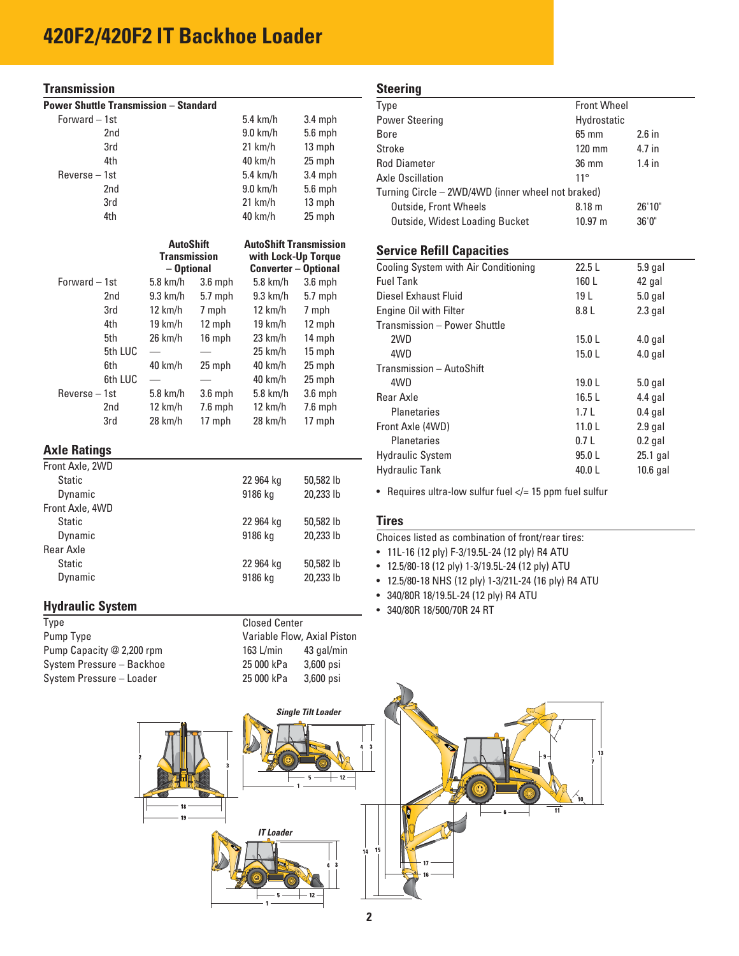### **Transmission**

| <b>Power Shuttle Transmission - Standard</b> |                 |                     |           |                               |           |
|----------------------------------------------|-----------------|---------------------|-----------|-------------------------------|-----------|
| Forward - 1st                                |                 |                     |           | 5.4 km/h                      | 3.4 mph   |
|                                              | 2 <sub>nd</sub> |                     |           | $9.0$ km/h                    | $5.6$ mph |
|                                              | 3rd             |                     |           | 21 km/h                       | 13 mph    |
|                                              | 4th             |                     |           | 40 km/h                       | 25 mph    |
| $Reverse - 1st$                              |                 |                     |           | $5.4$ km/h                    | $3.4$ mph |
|                                              | 2nd             |                     |           | $9.0$ km/h                    | $5.6$ mph |
|                                              | 3rd             |                     |           | 21 km/h                       | 13 mph    |
|                                              | 4th             |                     |           | 40 km/h                       | 25 mph    |
|                                              |                 |                     |           |                               |           |
|                                              |                 | <b>AutoShift</b>    |           | <b>AutoShift Transmission</b> |           |
|                                              |                 | <b>Transmission</b> |           | with Lock-Up Torque           |           |
|                                              |                 | - Optional          |           | <b>Converter - Optional</b>   |           |
| Forward - 1st                                |                 | $5.8$ km/h          | $3.6$ mph | $5.8$ km/h                    | $3.6$ mph |
|                                              | 2nd             | $9.3$ km/h          | $5.7$ mph | $9.3$ km/h                    | $5.7$ mph |
|                                              | 3rd             | 12 km/h             | 7 mph     | 12 km/h                       | 7 mph     |
|                                              | 4th             | 19 km/h             | 12 mph    | $19 \text{ km/h}$             | 12 mph    |
|                                              | 5th             | 26 km/h             | 16 mph    | $23 \text{ km/h}$             | 14 mph    |
|                                              | 5th LUC         |                     |           | $25 \text{ km/h}$             | 15 mph    |
|                                              | 6th             | 40 km/h             | 25 mph    | 40 km/h                       | 25 mph    |
|                                              | 6th LUC         |                     |           | 40 km/h                       | 25 mph    |
| Reverse - 1st                                |                 | 5.8 km/h            | $3.6$ mph | $5.8$ km/h                    | $3.6$ mph |
|                                              | 2nd             | 12 km/h             | $7.6$ mph | $12 \text{ km/h}$             | $7.6$ mph |
|                                              | 3rd             | 28 km/h             | 17 mph    | 28 km/h                       | 17 mph    |
|                                              |                 |                     |           |                               |           |

### **Axle Ratings**

| Front Axle, 2WD |           |           |
|-----------------|-----------|-----------|
| <b>Static</b>   | 22 964 kg | 50,582 lb |
| Dynamic         | 9186 kg   | 20,233 lb |
| Front Axle, 4WD |           |           |
| <b>Static</b>   | 22 964 kg | 50,582 lb |
| Dynamic         | 9186 kg   | 20,233 lb |
| Rear Axle       |           |           |
| Static          | 22 964 kg | 50,582 lb |
| Dynamic         | 9186 kg   | 20,233 lb |
|                 |           |           |

### **Hydraulic System**

| Type                      |
|---------------------------|
| Pump Type                 |
| Pump Capacity @ 2,200 rpm |
| System Pressure - Backhoe |
| System Pressure - Loader  |

| <b>Closed Center</b>        |            |  |  |  |  |  |
|-----------------------------|------------|--|--|--|--|--|
| Variable Flow, Axial Piston |            |  |  |  |  |  |
| 163 L/min                   | 43 gal/min |  |  |  |  |  |
| 25 000 kPa                  | 3,600 psi  |  |  |  |  |  |
| 25 000 kPa                  | 3.600 psi  |  |  |  |  |  |
|                             |            |  |  |  |  |  |

#### **Steering**

| olggilliy                                         |                       |          |  |
|---------------------------------------------------|-----------------------|----------|--|
| Type                                              | <b>Front Wheel</b>    |          |  |
| <b>Power Steering</b>                             | Hydrostatic           |          |  |
| Bore                                              | $65 \text{ mm}$       | $2.6$ in |  |
| Stroke                                            | $120$ mm              | 4.7 in   |  |
| <b>Rod Diameter</b>                               | $36 \text{ mm}$       | $1.4$ in |  |
| Axle Oscillation                                  | $11^{\circ}$          |          |  |
| Turning Circle – 2WD/4WD (inner wheel not braked) |                       |          |  |
| <b>Outside, Front Wheels</b>                      | 8.18 <sub>m</sub>     | 26'10"   |  |
| Outside, Widest Loading Bucket                    | $10.97 \; \mathrm{m}$ | 36'0''   |  |

### **Service Refill Capacities**

| Cooling System with Air Conditioning | 22.5L             | $5.9$ gal  |
|--------------------------------------|-------------------|------------|
| <b>Fuel Tank</b>                     | 160 L             | 42 gal     |
| Diesel Exhaust Fluid                 | 19 <sub>L</sub>   | $5.0$ gal  |
| Engine Oil with Filter               | 8.8 L             | $2.3$ gal  |
| Transmission - Power Shuttle         |                   |            |
| 2WD                                  | 15.0 L            | $4.0$ gal  |
| 4WD                                  | 15.0 L            | $4.0$ gal  |
| Transmission - AutoShift             |                   |            |
| 4WD                                  | 19.0 <sub>L</sub> | $5.0$ gal  |
| Rear Axle                            | 16.5L             | $4.4$ gal  |
| Planetaries                          | 1.7L              | $0.4$ gal  |
| Front Axle (4WD)                     | 11.0 <sub>L</sub> | $2.9$ gal  |
| Planetaries                          | 0.7L              | $0.2$ gal  |
| <b>Hydraulic System</b>              | 95.0 L            | 25.1 gal   |
| <b>Hydraulic Tank</b>                | 40.0L             | $10.6$ gal |
|                                      |                   |            |

• Requires ultra-low sulfur fuel  $\lt/= 15$  ppm fuel sulfur

### **Tires**

Choices listed as combination of front/rear tires:

- 11L-16 (12 ply) F-3/19.5L-24 (12 ply) R4 ATU
- 12.5/80-18 (12 ply) 1-3/19.5L-24 (12 ply) ATU
- 12.5/80-18 NHS (12 ply) 1-3/21L-24 (16 ply) R4 ATU
- 340/80R 18/19.5L-24 (12 ply) R4 ATU
- 340/80R 18/500/70R 24 RT

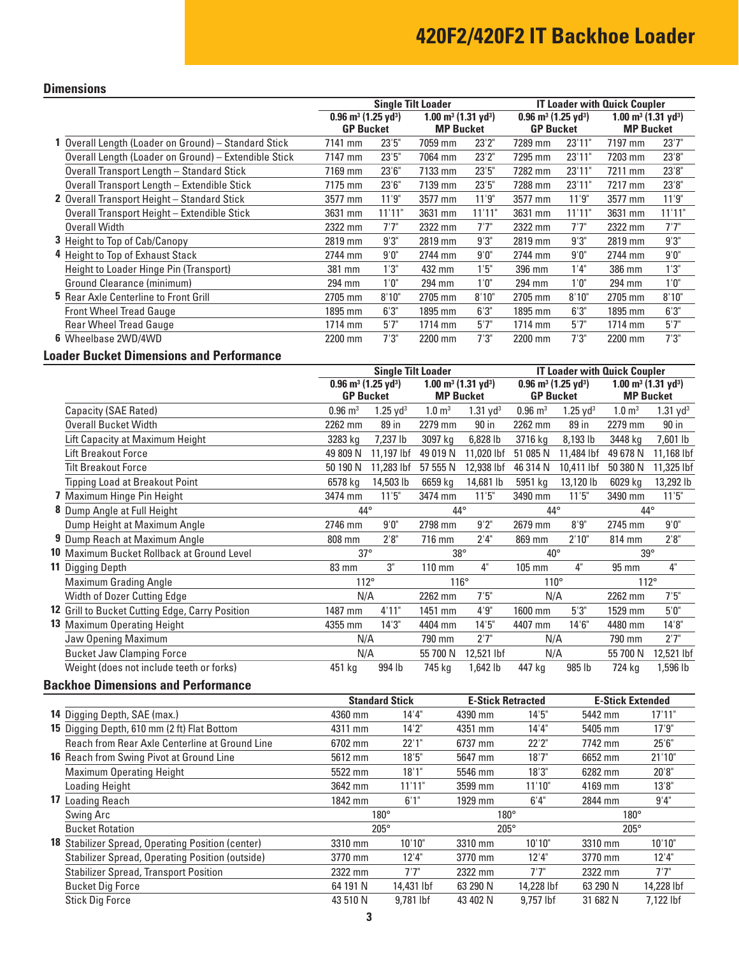### **Dimensions**

|                                                      |                                        | <b>Single Tilt Loader</b> | <b>IT Loader with Quick Coupler</b>        |                  |                                        |                  |                                            |                  |  |
|------------------------------------------------------|----------------------------------------|---------------------------|--------------------------------------------|------------------|----------------------------------------|------------------|--------------------------------------------|------------------|--|
|                                                      | $0.96 \text{ m}^3 (1.25 \text{ yd}^3)$ |                           | $1.00 \text{ m}^3$ (1.31 yd <sup>3</sup> ) |                  | $0.96 \text{ m}^3 (1.25 \text{ yd}^3)$ |                  | $1.00 \text{ m}^3$ (1.31 yd <sup>3</sup> ) |                  |  |
|                                                      | <b>GP Bucket</b>                       |                           |                                            | <b>MP Bucket</b> |                                        | <b>GP Bucket</b> |                                            | <b>MP Bucket</b> |  |
| 1 Overall Length (Loader on Ground) - Standard Stick | 7141 mm                                | 23'5''                    | 7059 mm                                    | 23'2"            | 7289 mm                                | 23'11"           | 7197 mm                                    | 23'7''           |  |
| Overall Length (Loader on Ground) - Extendible Stick | 7147 mm                                | 23'5''                    | 7064 mm                                    | 23'2"            | 7295 mm                                | 23'11"           | 7203 mm                                    | 23'8"            |  |
| Overall Transport Length - Standard Stick            | 7169 mm                                | 23'6''                    | 7133 mm                                    | 23'5''           | 7282 mm                                | 23'11"           | 7211 mm                                    | 23'8''           |  |
| Overall Transport Length - Extendible Stick          | 7175 mm                                | 23'6''                    | 7139 mm                                    | 23'5''           | 7288 mm                                | 23'11"           | 7217 mm                                    | 23'8''           |  |
| 2 Overall Transport Height - Standard Stick          | 3577 mm                                | 11'9''                    | 3577 mm                                    | 11'9''           | 3577 mm                                | 11'9''           | 3577 mm                                    | 11'9''           |  |
| Overall Transport Height - Extendible Stick          | 3631 mm                                | 11'11"                    | 3631 mm                                    | 11'11"           | 3631 mm                                | 11'11"           | 3631 mm                                    | 11'11"           |  |
| Overall Width                                        | 2322 mm                                | 7'7''                     | 2322 mm                                    | 7'7"             | 2322 mm                                | 7'7''            | 2322 mm                                    | 7'7''            |  |
| <b>3</b> Height to Top of Cab/Canopy                 | 2819 mm                                | 9'3"                      | 2819 mm                                    | 9'3"             | 2819 mm                                | 9'3''            | 2819 mm                                    | 9'3''            |  |
| 4 Height to Top of Exhaust Stack                     | 2744 mm                                | 9'0''                     | 2744 mm                                    | 9'0''            | 2744 mm                                | 9'0''            | 2744 mm                                    | 9'0''            |  |
| Height to Loader Hinge Pin (Transport)               | 381 mm                                 | 1'3''                     | 432 mm                                     | 1'5''            | 396 mm                                 | 1'4''            | 386 mm                                     | 1'3''            |  |
| Ground Clearance (minimum)                           | 294 mm                                 | 1'0''                     | 294 mm                                     | 1'0''            | 294 mm                                 | 1'0''            | 294 mm                                     | 1'0''            |  |
| <b>5</b> Rear Axle Centerline to Front Grill         | 2705 mm                                | 8'10"                     | 2705 mm                                    | 8'10"            | 2705 mm                                | 8'10"            | 2705 mm                                    | 8'10"            |  |
| <b>Front Wheel Tread Gauge</b>                       | 1895 mm                                | 6'3''                     | 1895 mm                                    | 6'3''            | 1895 mm                                | 6'3''            | 1895 mm                                    | 6'3''            |  |
| <b>Rear Wheel Tread Gauge</b>                        | 1714 mm                                | 5'7''                     | 1714 mm                                    | 5'7''            | 1714 mm                                | 5'7''            | 1714 mm                                    | 5'7''            |  |
| 6 Wheelbase 2WD/4WD                                  | 2200 mm                                | 7'3''                     | 2200 mm                                    | 7'3''            | 2200 mm                                | 7'3''            | 2200 mm                                    | 7'3''            |  |

### **Loader Bucket Dimensions and Performance**

|                                                 | <b>Single Tilt Loader</b>                  |                     |                       |                                            | <b>IT Loader with Quick Coupler</b> |                                        |                       |                                            |  |
|-------------------------------------------------|--------------------------------------------|---------------------|-----------------------|--------------------------------------------|-------------------------------------|----------------------------------------|-----------------------|--------------------------------------------|--|
|                                                 | $0.96 \text{ m}^3$ (1.25 yd <sup>3</sup> ) |                     |                       | $1.00 \text{ m}^3$ (1.31 yd <sup>3</sup> ) |                                     | $0.96 \text{ m}^3 (1.25 \text{ yd}^3)$ |                       | $1.00 \text{ m}^3$ (1.31 yd <sup>3</sup> ) |  |
|                                                 | <b>GP Bucket</b>                           |                     | <b>MP Bucket</b>      |                                            | <b>GP Bucket</b>                    |                                        | <b>MP Bucket</b>      |                                            |  |
| Capacity (SAE Rated)                            | $0.96 \; \mathrm{m}^3$                     | $1.25 \text{ yd}^3$ | $1.0 \; \mathrm{m}^3$ | $1.31$ yd <sup>3</sup>                     | $0.96 \; \mathrm{m}^3$              | $1.25 \text{ yd}^3$                    | $1.0 \; \mathrm{m}^3$ | $1.31$ yd <sup>3</sup>                     |  |
| <b>Overall Bucket Width</b>                     | 2262 mm                                    | 89 in               | 2279 mm               | 90 in                                      | 2262 mm                             | 89 in                                  | 2279 mm               | 90 in                                      |  |
| Lift Capacity at Maximum Height                 | 3283 kg                                    | 7,237 lb            | 3097 kg               | 6,828 lb                                   | 3716 kg                             | 8,193 lb                               | 3448 kg               | 7,601 lb                                   |  |
| <b>Lift Breakout Force</b>                      | 49 809 N                                   | 11,197 lbf          | 49 019 N              | 11,020 lbf                                 | 51 085 N                            | 11,484 lbf                             | 49 678 N              | 11,168 lbf                                 |  |
| <b>Tilt Breakout Force</b>                      | 50 190 N                                   | 11,283 lbf          | 57 555 N              | 12,938 lbf                                 | 46 314 N                            | 10,411 lbf                             | 50 380 N              | 11,325 lbf                                 |  |
| <b>Tipping Load at Breakout Point</b>           | 6578 kg                                    | 14,503 lb           | 6659 kg               | 14,681 lb                                  | 5951 kg                             | 13,120 lb                              | 6029 kg               | 13,292 lb                                  |  |
| 7 Maximum Hinge Pin Height                      | 3474 mm                                    | 11'5"               | 3474 mm               | 11'5''                                     | 3490 mm                             | 11'5''                                 | 3490 mm               | 11'5''                                     |  |
| 8 Dump Angle at Full Height                     | $44^{\circ}$                               |                     | $44^{\circ}$          |                                            | 44°                                 |                                        | $44^{\circ}$          |                                            |  |
| Dump Height at Maximum Angle                    | 2746 mm                                    | 9'0''               | 2798 mm               | 9'2"                                       | 2679 mm                             | 8'9''                                  | 2745 mm               | 9'0''                                      |  |
| 9 Dump Reach at Maximum Angle                   | 808 mm                                     | 2'8''               | 716 mm                | 2'4"                                       | 869 mm                              | 2'10"                                  | 814 mm                | 2'8''                                      |  |
| 10 Maximum Bucket Rollback at Ground Level      | $37^\circ$                                 |                     | $38^\circ$            |                                            | $40^{\circ}$                        |                                        | $39^\circ$            |                                            |  |
| <b>11</b> Digging Depth                         | 83 mm                                      | 3"                  | $110 \text{ mm}$      | 4"                                         | 105 mm                              | 4"                                     | 95 mm                 | 4"                                         |  |
| <b>Maximum Grading Angle</b>                    | $112^\circ$                                |                     | $116^\circ$           |                                            | $110^{\circ}$                       |                                        | 112°                  |                                            |  |
| Width of Dozer Cutting Edge                     | N/A                                        |                     | 2262 mm               | 7'5''                                      | N/A                                 |                                        | 2262 mm               | 7'5''                                      |  |
| 12 Grill to Bucket Cutting Edge, Carry Position | 1487 mm                                    | 4'11"               | 1451 mm               | 4'9''                                      | 1600 mm                             | 5'3''                                  | 1529 mm               | 5'0''                                      |  |
| <b>13</b> Maximum Operating Height              | 4355 mm                                    | 14'3''              | 4404 mm               | 14'5"                                      | 4407 mm                             | 14'6''                                 | 4480 mm               | 14'8"                                      |  |
| Jaw Opening Maximum                             | N/A                                        |                     | 790 mm                | 2'7"                                       | N/A                                 |                                        | 790 mm                | 2'7"                                       |  |
| <b>Bucket Jaw Clamping Force</b>                | N/A                                        |                     | 55 700 N              | 12,521 lbf                                 | N/A                                 |                                        | 55 700 N              | 12,521 lbf                                 |  |
| Weight (does not include teeth or forks)        | 451 kg                                     | 994 lb              | 745 kg                | 1,642 lb                                   | 447 kg                              | 985 lb                                 | 724 kg                | 1,596 lb                                   |  |

### **Backhoe Dimensions and Performance**

|                                                          | <b>Standard Stick</b> |            | <b>E-Stick Retracted</b> |            | <b>E-Stick Extended</b> |            |
|----------------------------------------------------------|-----------------------|------------|--------------------------|------------|-------------------------|------------|
| 14 Digging Depth, SAE (max.)                             | 4360 mm               | 14'4"      | 4390 mm                  | 14'5''     | 5442 mm                 | 17'11"     |
| 15 Digging Depth, 610 mm (2 ft) Flat Bottom              | 4311 mm               | 14'2''     | 4351 mm                  | 14'4"      | 5405 mm                 | 17'9''     |
| Reach from Rear Axle Centerline at Ground Line           | 6702 mm               | 22'1"      | 6737 mm                  | 22'2"      | 7742 mm                 | 25'6''     |
| 16 Reach from Swing Pivot at Ground Line                 | 5612 mm               | 18'5''     | 5647 mm                  | 18'7''     | 6652 mm                 | 21'10"     |
| <b>Maximum Operating Height</b>                          | 5522 mm               | 18'1"      | 5546 mm                  | 18'3''     | 6282 mm                 | 20'8"      |
| Loading Height                                           | 3642 mm               | 11'11"     | 3599 mm                  | 11'10"     | 4169 mm                 | 13'8"      |
| 17 Loading Reach                                         | 1842 mm               | 6'1''      | 1929 mm                  | 6'4''      | 2844 mm                 | 9'4''      |
| Swing Arc                                                | $180^\circ$           |            | $180^\circ$              |            | $180^\circ$             |            |
| <b>Bucket Rotation</b>                                   | $205^\circ$           |            | $205^\circ$              |            | $205^\circ$             |            |
| <b>18</b> Stabilizer Spread, Operating Position (center) | 3310 mm               | 10'10"     | 3310 mm                  | 10'10"     | 3310 mm                 | 10'10"     |
| <b>Stabilizer Spread, Operating Position (outside)</b>   | 3770 mm               | 12'4"      | 3770 mm                  | 12'4"      | 3770 mm                 | 12'4''     |
| <b>Stabilizer Spread, Transport Position</b>             | 2322 mm               | 7'7"       | 2322 mm                  | 7'7"       | 2322 mm                 | 7'7"       |
| <b>Bucket Dig Force</b>                                  | 64 191 N              | 14,431 lbf | 63 290 N                 | 14,228 lbf | 63 290 N                | 14,228 lbf |
| <b>Stick Dig Force</b>                                   | 43 510 N              | 9.781 lbf  | 43 402 N                 | 9.757 lbf  | 31 682 N                | 7,122 lbf  |
|                                                          |                       |            |                          |            |                         |            |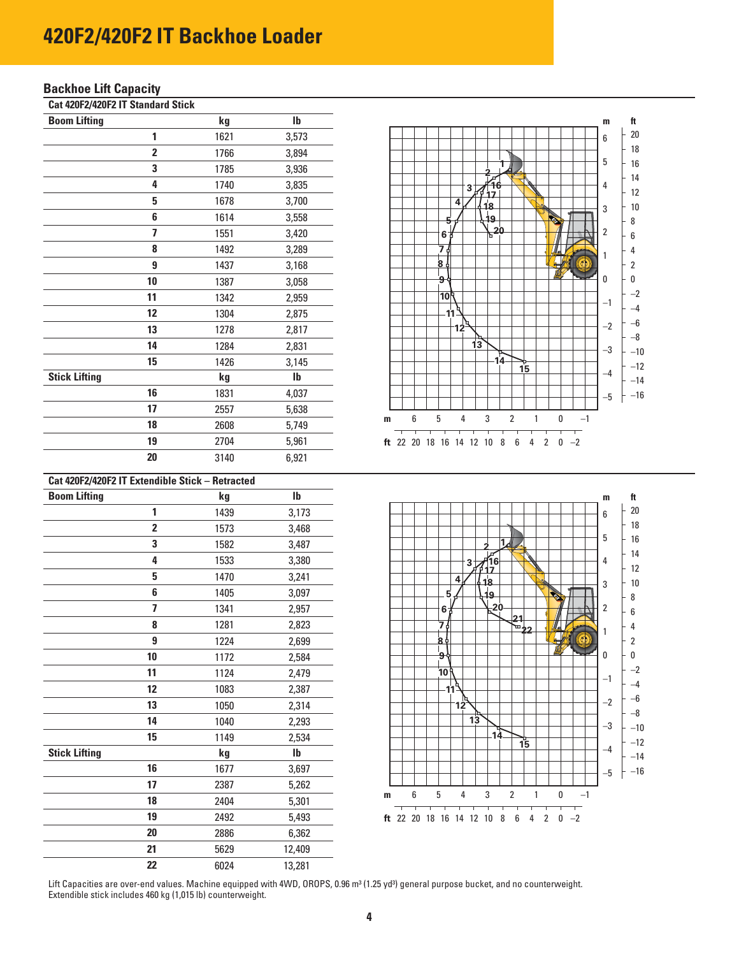### **Backhoe Lift Capacity**

**Cat 420F2/420F2 IT Standard Stick** 

| <b>Boom Lifting</b>  |                | kg   | lb            |
|----------------------|----------------|------|---------------|
|                      | 1              | 1621 | 3,573         |
|                      | $\overline{2}$ | 1766 | 3,894         |
|                      | 3              | 1785 | 3,936         |
|                      | 4              | 1740 | 3,835         |
|                      | 5              | 1678 | 3,700         |
|                      | 6              | 1614 | 3,558         |
|                      | 7              | 1551 | 3,420         |
|                      | 8              | 1492 | 3,289         |
|                      | 9              | 1437 | 3,168         |
|                      | 10             | 1387 | 3,058         |
|                      | 11             | 1342 | 2,959         |
|                      | 12             | 1304 | 2,875         |
|                      | 13             | 1278 | 2,817         |
|                      | 14             | 1284 | 2,831         |
|                      | 15             | 1426 | 3,145         |
| <b>Stick Lifting</b> |                | kg   | $\mathsf{lb}$ |
|                      | 16             | 1831 | 4,037         |
|                      | 17             | 2557 | 5,638         |
|                      | 18             | 2608 | 5,749         |
|                      | 19             | 2704 | 5,961         |
|                      | 20             | 3140 | 6,921         |

| Cat 420F2/420F2 IT Extendible Stick - Retracted |                         |      |              |
|-------------------------------------------------|-------------------------|------|--------------|
| <b>Boom Lifting</b>                             |                         | kg   | $\mathbf{I}$ |
|                                                 | 1                       | 1439 | 3,173        |
|                                                 | $\overline{\mathbf{2}}$ | 1573 | 3,468        |
|                                                 | 3                       | 1582 | 3,487        |
|                                                 | 4                       | 1533 | 3,380        |
|                                                 | 5                       | 1470 | 3,241        |
|                                                 | 6                       | 1405 | 3,097        |
|                                                 | 7                       | 1341 | 2,957        |
|                                                 | 8                       | 1281 | 2,823        |
|                                                 | 9                       | 1224 | 2,699        |
|                                                 | 10                      | 1172 | 2,584        |
|                                                 | 11                      | 1124 | 2,479        |
|                                                 | 12                      | 1083 | 2,387        |
|                                                 | 13                      | 1050 | 2,314        |
|                                                 | 14                      | 1040 | 2,293        |
|                                                 | 15                      | 1149 | 2,534        |
| <b>Stick Lifting</b>                            |                         | kg   | $\mathbf{I}$ |
|                                                 | 16                      | 1677 | 3,697        |
|                                                 | 17                      | 2387 | 5,262        |
|                                                 | 18                      | 2404 | 5,301        |
|                                                 | 19                      | 2492 | 5,493        |
|                                                 | 20                      | 2886 | 6,362        |
|                                                 | 21                      | 5629 | 12,409       |
|                                                 | 22                      | 6024 | 13,281       |





Lift Capacities are over-end values. Machine equipped with 4WD, OROPS, 0.96 m<sup>3</sup> (1.25 yd<sup>3</sup>) general purpose bucket, and no counterweight. Extendible stick includes 460 kg (1,015 lb) counterweight.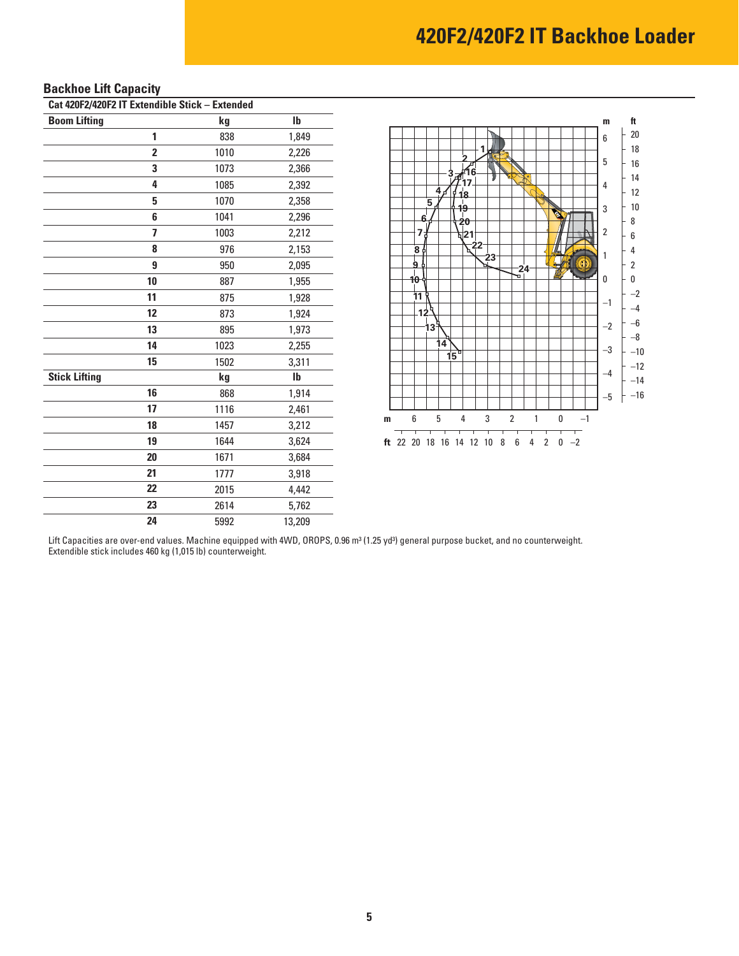| Cat 420F2/420F2 IT Extendible Stick - Extended |    |      |              |  |
|------------------------------------------------|----|------|--------------|--|
| <b>Boom Lifting</b>                            |    | kg   | $\mathbf{I}$ |  |
|                                                | 1  | 838  | 1,849        |  |
|                                                | 2  | 1010 | 2,226        |  |
|                                                | 3  | 1073 | 2,366        |  |
|                                                | 4  | 1085 | 2,392        |  |
|                                                | 5  | 1070 | 2,358        |  |
|                                                | 6  | 1041 | 2,296        |  |
|                                                | 7  | 1003 | 2,212        |  |
|                                                | 8  | 976  | 2,153        |  |
|                                                | 9  | 950  | 2,095        |  |
|                                                | 10 | 887  | 1,955        |  |
|                                                | 11 | 875  | 1,928        |  |
|                                                | 12 | 873  | 1,924        |  |
|                                                | 13 | 895  | 1,973        |  |
|                                                | 14 | 1023 | 2,255        |  |
|                                                | 15 | 1502 | 3,311        |  |
| <b>Stick Lifting</b>                           |    | kg   | $\mathbf{I}$ |  |
|                                                | 16 | 868  | 1,914        |  |
|                                                | 17 | 1116 | 2,461        |  |
|                                                | 18 | 1457 | 3,212        |  |
|                                                | 19 | 1644 | 3,624        |  |
|                                                | 20 | 1671 | 3,684        |  |
|                                                | 21 | 1777 | 3,918        |  |
|                                                | 22 | 2015 | 4,442        |  |
|                                                | 23 | 2614 | 5,762        |  |
|                                                | 24 | 5992 | 13,209       |  |

### **Backhoe Lift Capacity**



Lift Capacities are over-end values. Machine equipped with 4WD, OROPS, 0.96 m3 (1.25 yd3) general purpose bucket, and no counterweight. Extendible stick includes 460 kg (1,015 lb) counterweight.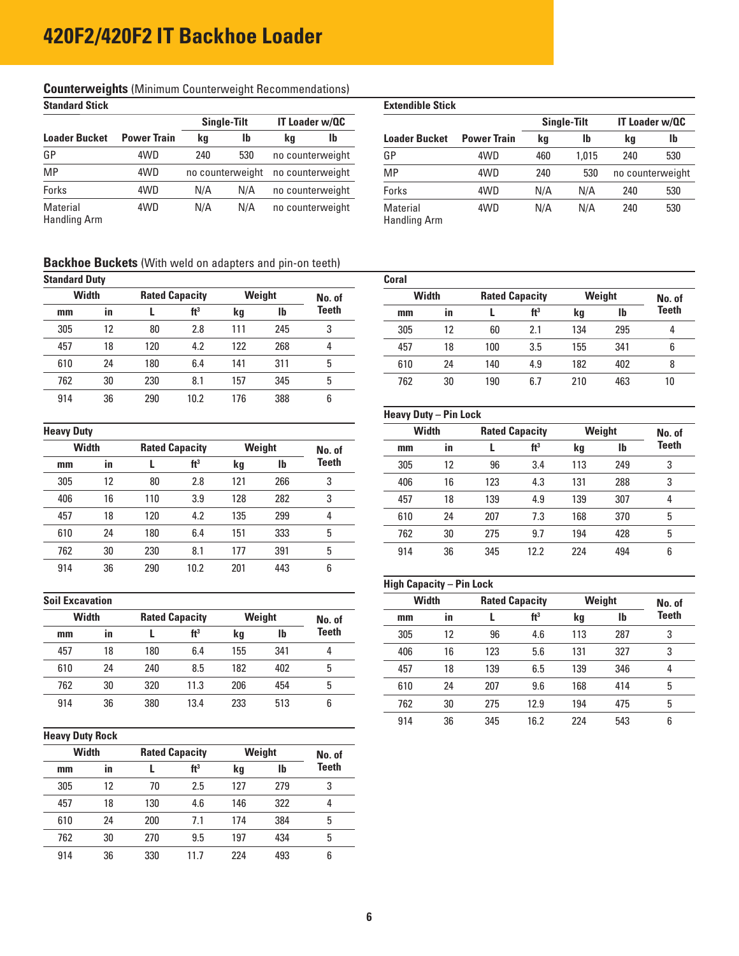## **Counterweights (Minimum Counterweight Recommendations)**<br>Standard Stick

| ownaara oww              |                    |                    |                |                       |                      | <u>Lauthain vuonna </u>  |     |           |                    |                       |                  |
|--------------------------|--------------------|--------------------|----------------|-----------------------|----------------------|--------------------------|-----|-----------|--------------------|-----------------------|------------------|
|                          |                    | <b>Single-Tilt</b> |                | <b>IT Loader w/QC</b> |                      |                          |     |           | <b>Single-Tilt</b> | <b>IT Loader w/QC</b> |                  |
| <b>Loader Bucket</b>     | <b>Power Train</b> | kg                 | lb<br>lb<br>kg |                       | <b>Loader Bucket</b> | <b>Power Train</b>       | ka  | <b>lb</b> | kg                 | <b>lb</b>             |                  |
| GP                       | 4WD                | 240                | 530            |                       | no counterweight     | GP                       | 4WD | 460       | 1.015              | 240                   | 530              |
| MP                       | 4WD                | no counterweight   |                | no counterweight      |                      | MP                       | 4WD | 240       | 530                |                       | no counterweight |
| Forks                    | 4WD                | N/A                | N/A            | no counterweight      |                      | Forks                    | 4WD | N/A       | N/A                | 240                   | 530              |
| Material<br>Handling Arm | 4WD                | N/A                | N/A            |                       | no counterweight     | Material<br>Handling Arm | 4WD | N/A       | N/A                | 240                   | 530              |

|    | <b>III. 61 MEIUIII III. FUULIIIII. FUULII 11</b> |    |                       |                         |                    |     |                    |                  |                       |
|----|--------------------------------------------------|----|-----------------------|-------------------------|--------------------|-----|--------------------|------------------|-----------------------|
|    |                                                  |    |                       | <b>Extendible Stick</b> |                    |     |                    |                  |                       |
|    | Single-Tilt                                      |    | <b>IT Loader w/QC</b> |                         |                    |     | <b>Single-Tilt</b> |                  | <b>IT Loader w/QC</b> |
|    | $\mathbf{I}$                                     | kq | lb                    | <b>Loader Bucket</b>    | <b>Power Train</b> | ka  | lb                 | kq               | lb                    |
| 40 | 530                                              |    | no counterweight      | GP                      | 4WD                | 460 | 1.015              | 240              | 530                   |
|    | counterweight                                    |    | no counterweight      | MP                      | 4WD                | 240 | 530                | no counterweight |                       |
| /A | N/A                                              |    | no counterweight      | <b>Forks</b>            | 4WD                | N/A | N/A                | 240              | 530                   |

### **Backhoe Buckets** (With weld on adapters and pin-on teeth)

| <b>Standard Duty</b> |  |
|----------------------|--|
|----------------------|--|

| <b>Standard Duty</b> |              |     |                       |     |        |        | Coral        |    |     |                       |     |              |      |
|----------------------|--------------|-----|-----------------------|-----|--------|--------|--------------|----|-----|-----------------------|-----|--------------|------|
|                      | <b>Width</b> |     | <b>Rated Capacity</b> |     | Weight | No. of | <b>Width</b> |    |     | <b>Rated Capacity</b> |     | Weight       | No.  |
| mm                   | in           |     | ft <sup>3</sup>       | kg  | Ib     | Teeth  | mm           | in |     | ft <sup>3</sup>       | kg  | $\mathbf{I}$ | Teet |
| 305                  | 12           | 80  | 2.8                   | 111 | 245    |        | 305          | 12 | 60  | 2.1                   | 134 | 295          | 4    |
| 457                  | 18           | 120 | 4.2                   | 122 | 268    | 4      | 457          | 18 | 100 | 3.5                   | 155 | 341          | 6    |
| 610                  | 24           | 180 | 6.4                   | 141 | 311    | 5      | 610          | 24 | 140 | 4.9                   | 182 | 402          | 8    |
| 762                  | 30           | 230 | 8.1                   | 157 | 345    | 5      | 762          | 30 | 190 | 6.7                   | 210 | 463          | 10   |
| 914                  | 36           | 290 | 10.2                  | 176 | 388    | 6      |              |    |     |                       |     |              |      |
|                      |              |     |                       |     |        |        |              |    |     |                       |     |              |      |

|              | . .       |     |                       |     |              |        |      |           |     |                 |     | $\cdot$ |     |
|--------------|-----------|-----|-----------------------|-----|--------------|--------|------|-----------|-----|-----------------|-----|---------|-----|
| <b>Width</b> |           |     | <b>Rated Capacity</b> |     | Weight       | No. of | $mm$ | <b>in</b> |     | ft <sup>3</sup> | kg  | Ib      | Tee |
| mm           | <b>in</b> |     | ft <sup>3</sup>       | kg  | $\mathbf{I}$ | Teeth  | 305  | 12        | 96  | 3.4             | 113 | 249     | 3   |
| 305          | 12        | 80  | 2.8                   | 121 | 266          | 3      | 406  | 16        | 123 | 4.3             | 131 | 288     | 3   |
| 406          | 16        | 110 | 3.9                   | 128 | 282          | 3      | 457  | 18        | 139 | 4.9             | 139 | 307     | 4   |
| 457          | 18        | 120 | 4.2                   | 135 | 299          | 4      | 610  | 24        | 207 | 7.3             | 168 | 370     | 5   |
| 610          | 24        | 180 | 6.4                   | 151 | 333          | 5      | 762  | 30        | 275 | 9.7             | 194 | 428     | 5   |
| 762          | 30        | 230 | 8.1                   | 177 | 391          | 5      | 914  | 36        | 345 | 12.2            | 224 | 494     | 6   |
| 914          | 36        | 290 | 10.2                  | 201 | 443          | 6      |      |           |     |                 |     |         |     |
|              |           |     |                       |     |              |        |      |           |     |                 |     |         |     |

| <b>Width</b> |           |     | <b>Rated Capacity</b> |     | Weight       | No. of | $mm$ | in |     | ft <sup>3</sup> | kg  | lb  | Tee           |
|--------------|-----------|-----|-----------------------|-----|--------------|--------|------|----|-----|-----------------|-----|-----|---------------|
| mm           | <b>in</b> |     | ft <sup>3</sup>       | kg  | $\mathbf{I}$ | Teeth  | 305  | 12 | 96  | 4.6             | 113 | 287 | $\circ$<br>ັບ |
| 457          | 18        | 180 | 6.4                   | 155 | 341          | д.     | 406  | 16 | 123 | 5.6             | 131 | 327 | ∘<br>J        |
| 610          | 24        | 240 | 8.5                   | 182 | 402          | h      | 457  | 18 | 139 | 6.5             | 139 | 346 | 4             |
| 762          | 30        | 320 | 11.3                  | 206 | 454          | h      | 610  | 24 | 207 | 9.6             | 168 | 414 | 5             |
| 914          | 36        | 380 | 13.4                  | 233 | 513          |        | 762  | 30 | 275 | 12.9            | 194 | 475 | ს             |
|              |           |     |                       |     |              |        |      |    |     |                 |     |     |               |

#### **Heavy Duty Rock**

|              | -  |     |                       |     |        |              |
|--------------|----|-----|-----------------------|-----|--------|--------------|
| <b>Width</b> |    |     | <b>Rated Capacity</b> |     | Weight | No. of       |
| mm           | in |     | ft <sup>3</sup>       | kg  | lb     | <b>Teeth</b> |
| 305          | 12 | 70  | 2.5                   | 127 | 279    | 3            |
| 457          | 18 | 130 | 4.6                   | 146 | 322    | 4            |
| 610          | 24 | 200 | 7.1                   | 174 | 384    | 5            |
| 762          | 30 | 270 | 9.5                   | 197 | 434    | 5            |
| 914          | 36 | 330 | 11.7                  | 224 | 493    | 6            |

| ndard Duty   |                       |     |                 |        |     |              | Coral |              |     |                       |     |        |              |
|--------------|-----------------------|-----|-----------------|--------|-----|--------------|-------|--------------|-----|-----------------------|-----|--------|--------------|
| <b>Width</b> | <b>Rated Capacity</b> |     |                 | Weight |     | No. of       |       | <b>Width</b> |     | <b>Rated Capacity</b> |     | Weight | No. of       |
| mm           | -in                   |     | ft <sup>3</sup> | kg     | lb  | <b>Teeth</b> | mm    | -in          |     | ft <sup>3</sup>       | kg  | Ib     | <b>Teeth</b> |
| 305          | 12                    | 80  | 2.8             | 111    | 245 |              | 305   | 12           | 60  | 2.1                   | 134 | 295    |              |
| 457          | 18                    | 120 | 4.2             | 122    | 268 |              | 457   | 18           | 100 | 3.5                   | 155 | 341    | b            |
| 610          | 24                    | 180 | 6.4             | 141    | 311 | h.           | 610   | 24           | 140 | 4.9                   | 182 | 402    |              |
| 762          | 30                    | 230 | 8.1             | 157    | 345 | b            | 762   | 30           | 190 | 6.7                   | 210 | 463    | 10           |

### **Heavy Duty – Pin Lock**

|              |                   |                       |                 |        |     |        |     | . .          |                       |                 |        |           |        |
|--------------|-------------------|-----------------------|-----------------|--------|-----|--------|-----|--------------|-----------------------|-----------------|--------|-----------|--------|
|              | <b>Heavy Duty</b> |                       |                 |        |     |        |     | <b>Width</b> | <b>Rated Capacity</b> |                 | Weight |           | No. of |
| <b>Width</b> |                   | <b>Rated Capacity</b> |                 | Weight |     | No. of | mm  | in           |                       | ft <sup>3</sup> | kg     | <b>Ib</b> | Teeth  |
| mm           | in                |                       | ft <sup>3</sup> | kg     | lb  | Teeth  | 305 | 12           | 96                    | 3.4             | 113    | 249       | 3      |
| 305          | 12                | 80                    | 2.8             | 121    | 266 | 3      | 406 | 16           | 123                   | 4.3             | 131    | 288       | 3      |
| 406          | 16                | 110                   | 3.9             | 128    | 282 | 3      | 457 | 18           | 139                   | 4.9             | 139    | 307       | 4      |
| 457          | 18                | 120                   | 4.2             | 135    | 299 | 4      | 610 | 24           | 207                   | 7.3             | 168    | 370       | 5      |
| 610          | 24                | 180                   | 6.4             | 151    | 333 | 5      | 762 | 30           | 275                   | 9.7             | 194    | 428       | 5      |
| 762          | 30                | 230                   | 8.1             | 177    | 391 | 5      | 914 | 36           | 345                   | 12.2            | 224    | 494       | 6      |
|              |                   |                       |                 |        |     |        |     |              |                       |                 |        |           |        |

#### **High Capacity – Pin Lock**

| <b>Soil Excavation</b> |    |     |                       |     |              |        | <b>Width</b> |           | <b>Rated Capacity</b> |                 | Weight |           | No. of       |
|------------------------|----|-----|-----------------------|-----|--------------|--------|--------------|-----------|-----------------------|-----------------|--------|-----------|--------------|
| <b>Width</b>           |    |     | <b>Rated Capacity</b> |     | Weight       | No. of | mm           | <b>in</b> |                       | ft <sup>3</sup> | kg     | <b>lb</b> | <b>Teeth</b> |
| mm                     | in |     | ft <sup>3</sup>       | kg  | $\mathbf{I}$ | Teeth  | 305          | 12        | 96                    | 4.6             | 113    | 287       | 3            |
| 457                    | 18 | 180 | 6.4                   | 155 | 341          | 4      | 406          | 16        | 123                   | 5.6             | 131    | 327       | 3            |
| 610                    | 24 | 240 | 8.5                   | 182 | 402          | 5      | 457          | 18        | 139                   | 6.5             | 139    | 346       | 4            |
| 762                    | 30 | 320 | 11.3                  | 206 | 454          | 5      | 610          | 24        | 207                   | 9.6             | 168    | 414       | 5            |
| 914                    | 36 | 380 | 13.4                  | 233 | 513          | 6      | 762          | 30        | 275                   | 12.9            | 194    | 475       | 5            |
|                        |    |     |                       |     |              |        | 914          | 36        | 345                   | 16.2            | 224    | 543       | 6            |
|                        |    |     |                       |     |              |        |              |           |                       |                 |        |           |              |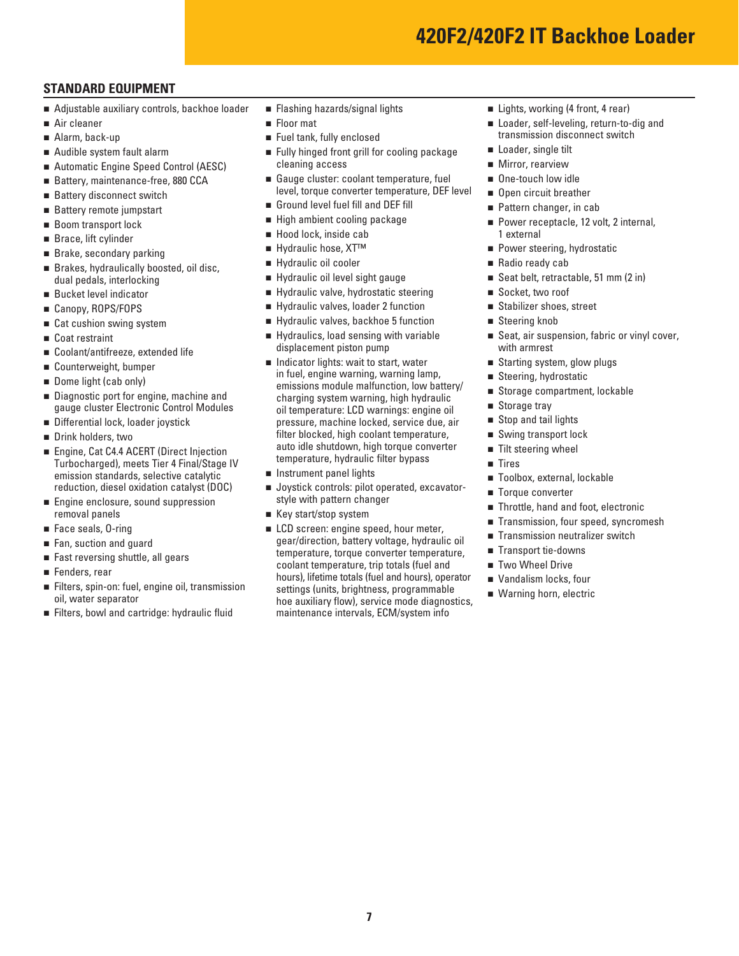### **STANDARD EQUIPMENT**

- Adjustable auxiliary controls, backhoe loader
- Air cleaner
- Alarm, back-up
- Audible system fault alarm
- Automatic Engine Speed Control (AESC)
- Battery, maintenance-free, 880 CCA
- Battery disconnect switch
- Battery remote jumpstart
- Boom transport lock
- Brace, lift cylinder
- Brake, secondary parking
- Brakes, hydraulically boosted, oil disc. dual pedals, interlocking
- Bucket level indicator
- Canopy, ROPS/FOPS
- Cat cushion swing system
- Coat restraint
- Coolant/antifreeze, extended life
- Counterweight, bumper
- Dome light (cab only)
- Diagnostic port for engine, machine and gauge cluster Electronic Control Modules
- Differential lock, loader joystick
- Drink holders, two
- Engine, Cat C4.4 ACERT (Direct Injection Turbocharged), meets Tier 4 Final/Stage IV emission standards, selective catalytic reduction, diesel oxidation catalyst (DOC)
- **Engine enclosure, sound suppression** removal panels
- Face seals, 0-ring
- Fan, suction and guard
- Fast reversing shuttle, all gears
- Fenders, rear
- Filters, spin-on: fuel, engine oil, transmission oil, water separator
- Filters, bowl and cartridge: hydraulic fluid
- **Flashing hazards/signal lights**
- **Floor** mat
- Fuel tank, fully enclosed
- Fully hinged front grill for cooling package cleaning access
- Gauge cluster: coolant temperature, fuel level, torque converter temperature, DEF level
- Ground level fuel fill and DEF fill
- High ambient cooling package
- Hood lock, inside cab
- Hydraulic hose, XT<sup>™</sup>
- Hydraulic oil cooler
- Hydraulic oil level sight gauge
- Hydraulic valve, hydrostatic steering
- Hydraulic valves, loader 2 function
- Hydraulic valves, backhoe 5 function
- Hydraulics, load sensing with variable displacement piston pump
- Indicator lights: wait to start, water in fuel, engine warning, warning lamp, emissions module malfunction, low battery/ charging system warning, high hydraulic oil temperature: LCD warnings: engine oil pressure, machine locked, service due, air filter blocked, high coolant temperature, auto idle shutdown, high torque converter temperature, hydraulic filter bypass
- **n** Instrument panel lights
- **Joystick controls: pilot operated, excavator**style with pattern changer
- Key start/stop system
- **LCD** screen: engine speed, hour meter, gear/direction, battery voltage, hydraulic oil temperature, torque converter temperature, coolant temperature, trip totals (fuel and hours), lifetime totals (fuel and hours), operator settings (units, brightness, programmable hoe auxiliary flow), service mode diagnostics, maintenance intervals, ECM/system info
- Lights, working (4 front, 4 rear)
- Loader, self-leveling, return-to-dig and transmission disconnect switch
- Loader, single tilt
- **Mirror, rearview**
- One-touch low idle
- Open circuit breather
- Pattern changer, in cab
- Power receptacle, 12 volt, 2 internal, 1 external
- **Power steering, hydrostatic**
- Radio ready cab
- Seat belt, retractable, 51 mm (2 in)
- Socket, two roof
- Stabilizer shoes, street
- Steering knob
- Seat, air suspension, fabric or vinyl cover, with armrest
- Starting system, glow plugs
- Steering, hydrostatic
- Storage compartment, lockable
- Storage tray
- Stop and tail lights
- Swing transport lock
- $\blacksquare$  Tilt steering wheel
- Tires
- Toolbox, external, lockable
- Torque converter
- Throttle, hand and foot, electronic
- Transmission, four speed, syncromesh
- Transmission neutralizer switch
- Transport tie-downs
- Two Wheel Drive
- Vandalism locks, four
- Warning horn, electric